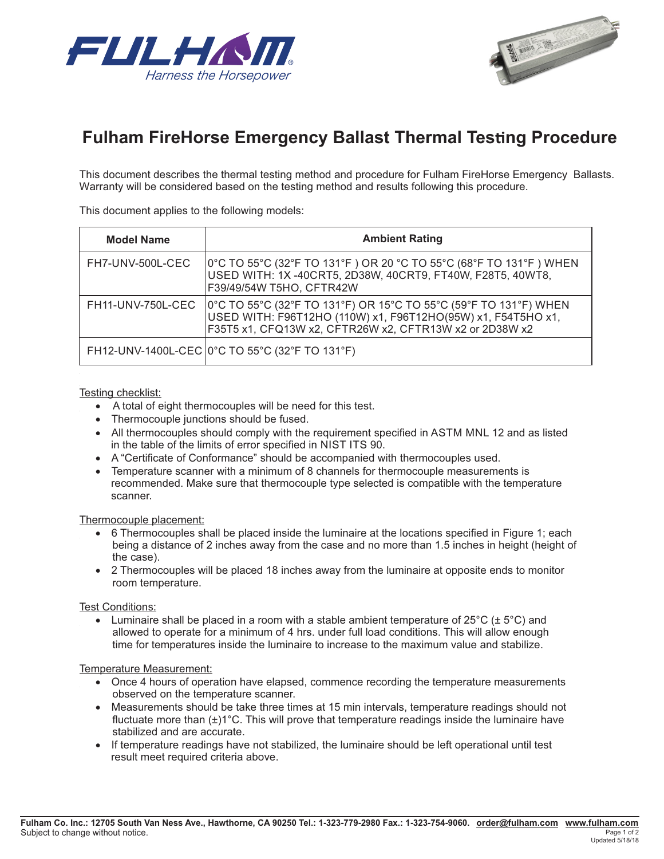



# **Fulham FireHorse Emergency Ballast Thermal Tesng Procedure**

This document describes the thermal testing method and procedure for Fulham FireHorse Emergency Ballasts. Warranty will be considered based on the testing method and results following this procedure.

This document applies to the following models:

| <b>Model Name</b> | <b>Ambient Rating</b>                                                                                                                                                                       |
|-------------------|---------------------------------------------------------------------------------------------------------------------------------------------------------------------------------------------|
| FH7-UNV-500L-CEC  | 0°C TO 55°C (32°F TO 131°F ) OR 20 °C TO 55°C (68°F TO 131°F ) WHEN<br>USED WITH: 1X -40CRT5, 2D38W, 40CRT9, FT40W, F28T5, 40WT8,<br>F39/49/54W T5HO, CFTR42W                               |
| FH11-UNV-750L-CEC | 0°C TO 55°C (32°F TO 131°F) OR 15°C TO 55°C (59°F TO 131°F) WHEN<br>USED WITH: F96T12HO (110W) x1, F96T12HO(95W) x1, F54T5HO x1,<br>F35T5 x1, CFQ13W x2, CFTR26W x2, CFTR13W x2 or 2D38W x2 |
|                   | FH12-UNV-1400L-CEC 0°C TO 55°C (32°F TO 131°F)                                                                                                                                              |

#### Testing checklist:

- A total of eight thermocouples will be need for this test.
- Thermocouple junctions should be fused.
- All thermocouples should comply with the requirement specified in ASTM MNL 12 and as listed in the table of the limits of error specified in NIST ITS 90.
- A "Certificate of Conformance" should be accompanied with thermocouples used.
- Temperature scanner with a minimum of 8 channels for thermocouple measurements is recommended. Make sure that thermocouple type selected is compatible with the temperature scanner.

#### Thermocouple placement:

- 6 Thermocouples shall be placed inside the luminaire at the locations specified in Figure 1; each being a distance of 2 inches away from the case and no more than 1.5 inches in height (height of the case).
- 2 Thermocouples will be placed 18 inches away from the luminaire at opposite ends to monitor room temperature.

#### Test Conditions:

• Luminaire shall be placed in a room with a stable ambient temperature of  $25^{\circ}C$  ( $\pm 5^{\circ}C$ ) and allowed to operate for a minimum of 4 hrs. under full load conditions. This will allow enough time for temperatures inside the luminaire to increase to the maximum value and stabilize.

#### Temperature Measurement:

- Once 4 hours of operation have elapsed, commence recording the temperature measurements observed on the temperature scanner.
- Measurements should be take three times at 15 min intervals, temperature readings should not fluctuate more than  $(\pm)1^{\circ}$ C. This will prove that temperature readings inside the luminaire have stabilized and are accurate.
- If temperature readings have not stabilized, the luminaire should be left operational until test result meet required criteria above.